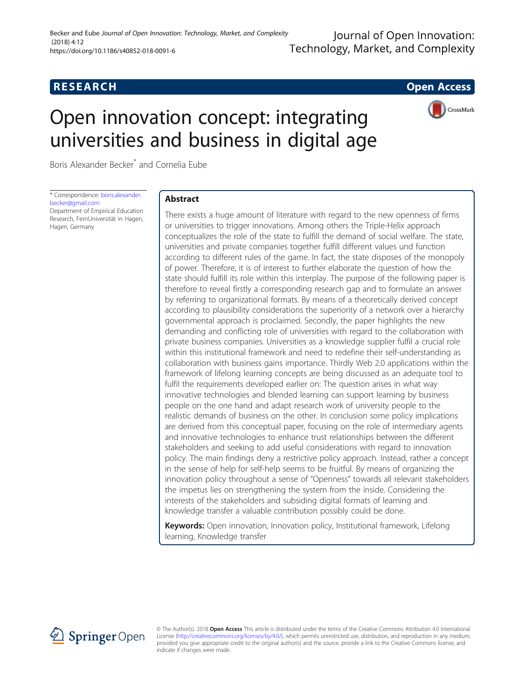## **RESEARCH CHEAR CHEAR CHEAR CHEAR CHEAR CHEAR CHEAR CHEAR CHEAR CHEAR CHEAR CHEAR CHEAR CHEAR CHEAR CHEAR CHEAR**

CrossMark

# Open innovation concept: integrating universities and business in digital age



\* Correspondence: [boris.alexander.](mailto:boris.alexander.becker@gmail.com) [becker@gmail.com](mailto:boris.alexander.becker@gmail.com) Department of Empirical Education Research, FernUniversität in Hagen,

Hagen, Germany

### Abstract

There exists a huge amount of literature with regard to the new openness of firms or universities to trigger innovations. Among others the Triple-Helix approach conceptualizes the role of the state to fulfill the demand of social welfare. The state, universities and private companies together fulfill different values und function according to different rules of the game. In fact, the state disposes of the monopoly of power. Therefore, it is of interest to further elaborate the question of how the state should fulfill its role within this interplay. The purpose of the following paper is therefore to reveal firstly a corresponding research gap and to formulate an answer by referring to organizational formats. By means of a theoretically derived concept according to plausibility considerations the superiority of a network over a hierarchy governmental approach is proclaimed. Secondly, the paper highlights the new demanding and conflicting role of universities with regard to the collaboration with private business companies. Universities as a knowledge supplier fulfil a crucial role within this institutional framework and need to redefine their self-understanding as collaboration with business gains importance. Thirdly Web 2.0 applications within the framework of lifelong learning concepts are being discussed as an adequate tool to fulfil the requirements developed earlier on: The question arises in what way innovative technologies and blended learning can support learning by business people on the one hand and adapt research work of university people to the realistic demands of business on the other. In conclusion some policy implications are derived from this conceptual paper, focusing on the role of intermediary agents and innovative technologies to enhance trust relationships between the different stakeholders and seeking to add useful considerations with regard to innovation policy. The main findings deny a restrictive policy approach. Instead, rather a concept in the sense of help for self-help seems to be fruitful. By means of organizing the innovation policy throughout a sense of "Openness" towards all relevant stakeholders the impetus lies on strengthening the system from the inside. Considering the interests of the stakeholders and subsiding digital formats of learning and knowledge transfer a valuable contribution possibly could be done.

Keywords: Open innovation, Innovation policy, Institutional framework, Lifelong learning, Knowledge transfer



© The Author(s). 2018 Open Access This article is distributed under the terms of the Creative Commons Attribution 4.0 International License [\(http://creativecommons.org/licenses/by/4.0/](http://creativecommons.org/licenses/by/4.0/)), which permits unrestricted use, distribution, and reproduction in any medium, provided you give appropriate credit to the original author(s) and the source, provide a link to the Creative Commons license, and indicate if changes were made.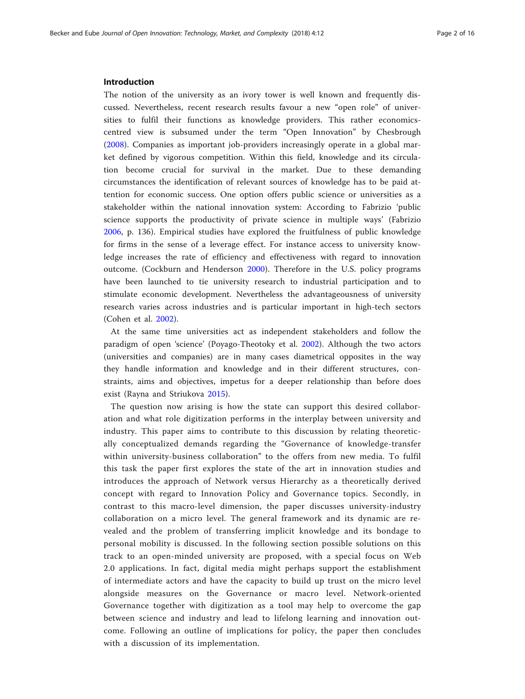#### Introduction

The notion of the university as an ivory tower is well known and frequently discussed. Nevertheless, recent research results favour a new "open role" of universities to fulfil their functions as knowledge providers. This rather economicscentred view is subsumed under the term "Open Innovation" by Chesbrough ([2008\)](#page-14-0). Companies as important job-providers increasingly operate in a global market defined by vigorous competition. Within this field, knowledge and its circulation become crucial for survival in the market. Due to these demanding circumstances the identification of relevant sources of knowledge has to be paid attention for economic success. One option offers public science or universities as a stakeholder within the national innovation system: According to Fabrizio 'public science supports the productivity of private science in multiple ways' (Fabrizio [2006,](#page-14-0) p. 136). Empirical studies have explored the fruitfulness of public knowledge for firms in the sense of a leverage effect. For instance access to university knowledge increases the rate of efficiency and effectiveness with regard to innovation outcome. (Cockburn and Henderson [2000\)](#page-14-0). Therefore in the U.S. policy programs have been launched to tie university research to industrial participation and to stimulate economic development. Nevertheless the advantageousness of university research varies across industries and is particular important in high-tech sectors (Cohen et al. [2002](#page-14-0)).

At the same time universities act as independent stakeholders and follow the paradigm of open 'science' (Poyago-Theotoky et al. [2002](#page-15-0)). Although the two actors (universities and companies) are in many cases diametrical opposites in the way they handle information and knowledge and in their different structures, constraints, aims and objectives, impetus for a deeper relationship than before does exist (Rayna and Striukova [2015\)](#page-15-0).

The question now arising is how the state can support this desired collaboration and what role digitization performs in the interplay between university and industry. This paper aims to contribute to this discussion by relating theoretically conceptualized demands regarding the "Governance of knowledge-transfer within university-business collaboration" to the offers from new media. To fulfil this task the paper first explores the state of the art in innovation studies and introduces the approach of Network versus Hierarchy as a theoretically derived concept with regard to Innovation Policy and Governance topics. Secondly, in contrast to this macro-level dimension, the paper discusses university-industry collaboration on a micro level. The general framework and its dynamic are revealed and the problem of transferring implicit knowledge and its bondage to personal mobility is discussed. In the following section possible solutions on this track to an open-minded university are proposed, with a special focus on Web 2.0 applications. In fact, digital media might perhaps support the establishment of intermediate actors and have the capacity to build up trust on the micro level alongside measures on the Governance or macro level. Network-oriented Governance together with digitization as a tool may help to overcome the gap between science and industry and lead to lifelong learning and innovation outcome. Following an outline of implications for policy, the paper then concludes with a discussion of its implementation.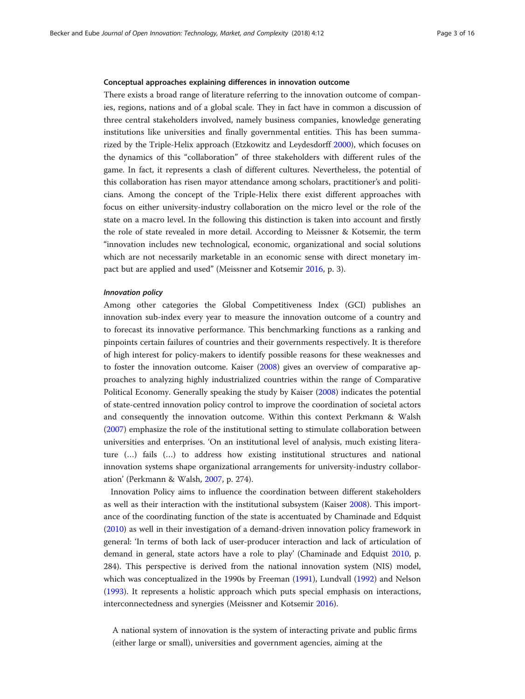#### Conceptual approaches explaining differences in innovation outcome

There exists a broad range of literature referring to the innovation outcome of companies, regions, nations and of a global scale. They in fact have in common a discussion of three central stakeholders involved, namely business companies, knowledge generating institutions like universities and finally governmental entities. This has been summarized by the Triple-Helix approach (Etzkowitz and Leydesdorff [2000](#page-14-0)), which focuses on the dynamics of this "collaboration" of three stakeholders with different rules of the game. In fact, it represents a clash of different cultures. Nevertheless, the potential of this collaboration has risen mayor attendance among scholars, practitioner's and politicians. Among the concept of the Triple-Helix there exist different approaches with focus on either university-industry collaboration on the micro level or the role of the state on a macro level. In the following this distinction is taken into account and firstly the role of state revealed in more detail. According to Meissner & Kotsemir, the term "innovation includes new technological, economic, organizational and social solutions which are not necessarily marketable in an economic sense with direct monetary impact but are applied and used" (Meissner and Kotsemir [2016,](#page-15-0) p. 3).

#### Innovation policy

Among other categories the Global Competitiveness Index (GCI) publishes an innovation sub-index every year to measure the innovation outcome of a country and to forecast its innovative performance. This benchmarking functions as a ranking and pinpoints certain failures of countries and their governments respectively. It is therefore of high interest for policy-makers to identify possible reasons for these weaknesses and to foster the innovation outcome. Kaiser ([2008](#page-14-0)) gives an overview of comparative approaches to analyzing highly industrialized countries within the range of Comparative Political Economy. Generally speaking the study by Kaiser [\(2008\)](#page-14-0) indicates the potential of state-centred innovation policy control to improve the coordination of societal actors and consequently the innovation outcome. Within this context Perkmann & Walsh ([2007](#page-15-0)) emphasize the role of the institutional setting to stimulate collaboration between universities and enterprises. 'On an institutional level of analysis, much existing literature (…) fails (…) to address how existing institutional structures and national innovation systems shape organizational arrangements for university-industry collaboration' (Perkmann & Walsh, [2007](#page-15-0), p. 274).

Innovation Policy aims to influence the coordination between different stakeholders as well as their interaction with the institutional subsystem (Kaiser [2008](#page-14-0)). This importance of the coordinating function of the state is accentuated by Chaminade and Edquist ([2010](#page-14-0)) as well in their investigation of a demand-driven innovation policy framework in general: 'In terms of both lack of user-producer interaction and lack of articulation of demand in general, state actors have a role to play' (Chaminade and Edquist [2010](#page-14-0), p. 284). This perspective is derived from the national innovation system (NIS) model, which was conceptualized in the 1990s by Freeman [\(1991\)](#page-14-0), Lundvall ([1992\)](#page-15-0) and Nelson ([1993](#page-15-0)). It represents a holistic approach which puts special emphasis on interactions, interconnectedness and synergies (Meissner and Kotsemir [2016\)](#page-15-0).

A national system of innovation is the system of interacting private and public firms (either large or small), universities and government agencies, aiming at the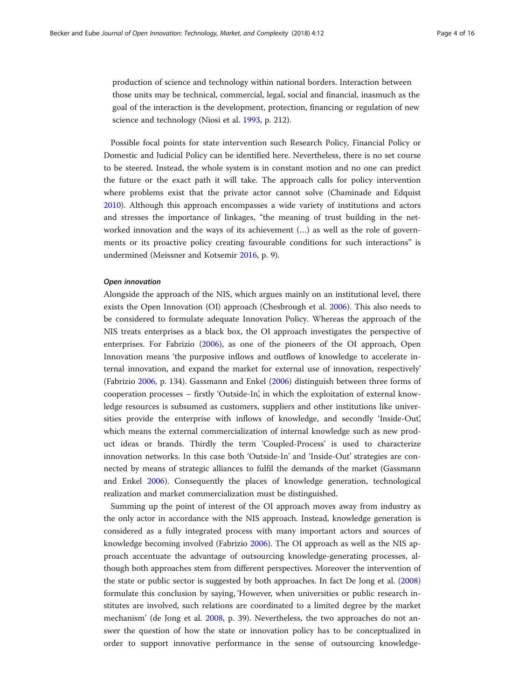production of science and technology within national borders. Interaction between those units may be technical, commercial, legal, social and financial, inasmuch as the goal of the interaction is the development, protection, financing or regulation of new science and technology (Niosi et al. [1993](#page-15-0), p. 212).

Possible focal points for state intervention such Research Policy, Financial Policy or Domestic and Judicial Policy can be identified here. Nevertheless, there is no set course to be steered. Instead, the whole system is in constant motion and no one can predict the future or the exact path it will take. The approach calls for policy intervention where problems exist that the private actor cannot solve (Chaminade and Edquist [2010](#page-14-0)). Although this approach encompasses a wide variety of institutions and actors and stresses the importance of linkages, "the meaning of trust building in the networked innovation and the ways of its achievement (…) as well as the role of governments or its proactive policy creating favourable conditions for such interactions" is undermined (Meissner and Kotsemir [2016,](#page-15-0) p. 9).

#### Open innovation

Alongside the approach of the NIS, which argues mainly on an institutional level, there exists the Open Innovation (OI) approach (Chesbrough et al. [2006\)](#page-14-0). This also needs to be considered to formulate adequate Innovation Policy. Whereas the approach of the NIS treats enterprises as a black box, the OI approach investigates the perspective of enterprises. For Fabrizio [\(2006\)](#page-14-0), as one of the pioneers of the OI approach, Open Innovation means 'the purposive inflows and outflows of knowledge to accelerate internal innovation, and expand the market for external use of innovation, respectively' (Fabrizio [2006](#page-14-0), p. 134). Gassmann and Enkel [\(2006](#page-14-0)) distinguish between three forms of cooperation processes – firstly 'Outside-In', in which the exploitation of external knowledge resources is subsumed as customers, suppliers and other institutions like universities provide the enterprise with inflows of knowledge, and secondly 'Inside-Out', which means the external commercialization of internal knowledge such as new product ideas or brands. Thirdly the term 'Coupled-Process' is used to characterize innovation networks. In this case both 'Outside-In' and 'Inside-Out' strategies are connected by means of strategic alliances to fulfil the demands of the market (Gassmann and Enkel [2006\)](#page-14-0). Consequently the places of knowledge generation, technological realization and market commercialization must be distinguished.

Summing up the point of interest of the OI approach moves away from industry as the only actor in accordance with the NIS approach. Instead, knowledge generation is considered as a fully integrated process with many important actors and sources of knowledge becoming involved (Fabrizio [2006\)](#page-14-0). The OI approach as well as the NIS approach accentuate the advantage of outsourcing knowledge-generating processes, although both approaches stem from different perspectives. Moreover the intervention of the state or public sector is suggested by both approaches. In fact De Jong et al. ([2008](#page-14-0)) formulate this conclusion by saying, 'However, when universities or public research institutes are involved, such relations are coordinated to a limited degree by the market mechanism' (de Jong et al. [2008,](#page-14-0) p. 39). Nevertheless, the two approaches do not answer the question of how the state or innovation policy has to be conceptualized in order to support innovative performance in the sense of outsourcing knowledge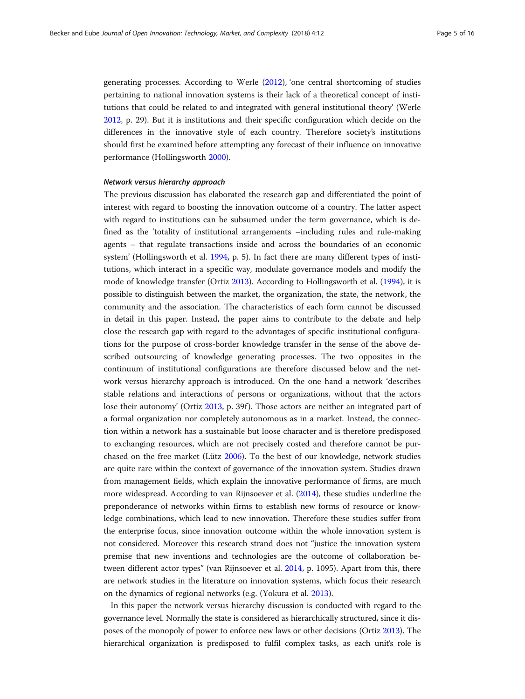generating processes. According to Werle ([2012](#page-15-0)), 'one central shortcoming of studies pertaining to national innovation systems is their lack of a theoretical concept of institutions that could be related to and integrated with general institutional theory' (Werle [2012](#page-15-0), p. 29). But it is institutions and their specific configuration which decide on the differences in the innovative style of each country. Therefore society's institutions should first be examined before attempting any forecast of their influence on innovative performance (Hollingsworth [2000](#page-14-0)).

#### Network versus hierarchy approach

The previous discussion has elaborated the research gap and differentiated the point of interest with regard to boosting the innovation outcome of a country. The latter aspect with regard to institutions can be subsumed under the term governance, which is defined as the 'totality of institutional arrangements –including rules and rule-making agents – that regulate transactions inside and across the boundaries of an economic system' (Hollingsworth et al. [1994](#page-14-0), p. 5). In fact there are many different types of institutions, which interact in a specific way, modulate governance models and modify the mode of knowledge transfer (Ortiz [2013\)](#page-15-0). According to Hollingsworth et al. ([1994](#page-14-0)), it is possible to distinguish between the market, the organization, the state, the network, the community and the association. The characteristics of each form cannot be discussed in detail in this paper. Instead, the paper aims to contribute to the debate and help close the research gap with regard to the advantages of specific institutional configurations for the purpose of cross-border knowledge transfer in the sense of the above described outsourcing of knowledge generating processes. The two opposites in the continuum of institutional configurations are therefore discussed below and the network versus hierarchy approach is introduced. On the one hand a network 'describes stable relations and interactions of persons or organizations, without that the actors lose their autonomy' (Ortiz [2013](#page-15-0), p. 39f). Those actors are neither an integrated part of a formal organization nor completely autonomous as in a market. Instead, the connection within a network has a sustainable but loose character and is therefore predisposed to exchanging resources, which are not precisely costed and therefore cannot be purchased on the free market (Lütz [2006](#page-15-0)). To the best of our knowledge, network studies are quite rare within the context of governance of the innovation system. Studies drawn from management fields, which explain the innovative performance of firms, are much more widespread. According to van Rijnsoever et al. [\(2014\)](#page-15-0), these studies underline the preponderance of networks within firms to establish new forms of resource or knowledge combinations, which lead to new innovation. Therefore these studies suffer from the enterprise focus, since innovation outcome within the whole innovation system is not considered. Moreover this research strand does not "justice the innovation system premise that new inventions and technologies are the outcome of collaboration between different actor types" (van Rijnsoever et al. [2014,](#page-15-0) p. 1095). Apart from this, there are network studies in the literature on innovation systems, which focus their research on the dynamics of regional networks (e.g. (Yokura et al. [2013\)](#page-15-0).

In this paper the network versus hierarchy discussion is conducted with regard to the governance level. Normally the state is considered as hierarchically structured, since it disposes of the monopoly of power to enforce new laws or other decisions (Ortiz [2013\)](#page-15-0). The hierarchical organization is predisposed to fulfil complex tasks, as each unit's role is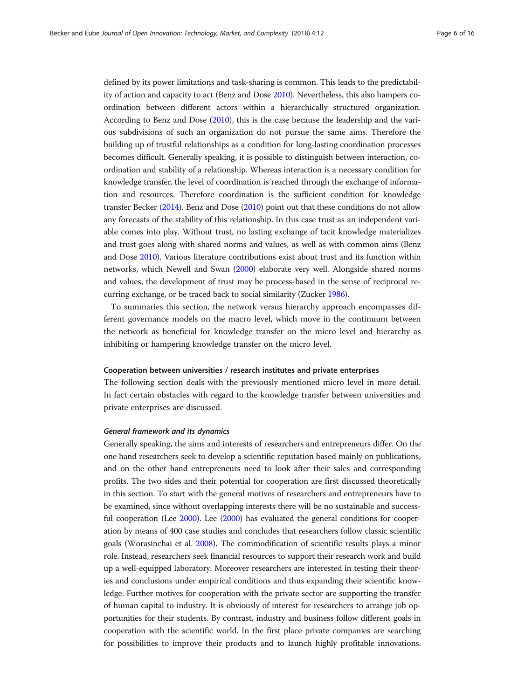defined by its power limitations and task-sharing is common. This leads to the predictability of action and capacity to act (Benz and Dose [2010](#page-14-0)). Nevertheless, this also hampers coordination between different actors within a hierarchically structured organization. According to Benz and Dose ([2010](#page-14-0)), this is the case because the leadership and the various subdivisions of such an organization do not pursue the same aims. Therefore the building up of trustful relationships as a condition for long-lasting coordination processes becomes difficult. Generally speaking, it is possible to distinguish between interaction, coordination and stability of a relationship. Whereas interaction is a necessary condition for knowledge transfer, the level of coordination is reached through the exchange of information and resources. Therefore coordination is the sufficient condition for knowledge transfer Becker [\(2014](#page-14-0)). Benz and Dose ([2010\)](#page-14-0) point out that these conditions do not allow any forecasts of the stability of this relationship. In this case trust as an independent variable comes into play. Without trust, no lasting exchange of tacit knowledge materializes and trust goes along with shared norms and values, as well as with common aims (Benz and Dose [2010](#page-14-0)). Various literature contributions exist about trust and its function within networks, which Newell and Swan ([2000](#page-15-0)) elaborate very well. Alongside shared norms and values, the development of trust may be process-based in the sense of reciprocal recurring exchange, or be traced back to social similarity (Zucker [1986](#page-15-0)).

To summaries this section, the network versus hierarchy approach encompasses different governance models on the macro level, which move in the continuum between the network as beneficial for knowledge transfer on the micro level and hierarchy as inhibiting or hampering knowledge transfer on the micro level.

#### Cooperation between universities / research institutes and private enterprises

The following section deals with the previously mentioned micro level in more detail. In fact certain obstacles with regard to the knowledge transfer between universities and private enterprises are discussed.

#### General framework and its dynamics

Generally speaking, the aims and interests of researchers and entrepreneurs differ. On the one hand researchers seek to develop a scientific reputation based mainly on publications, and on the other hand entrepreneurs need to look after their sales and corresponding profits. The two sides and their potential for cooperation are first discussed theoretically in this section. To start with the general motives of researchers and entrepreneurs have to be examined, since without overlapping interests there will be no sustainable and successful cooperation (Lee [2000](#page-15-0)). Lee ([2000](#page-15-0)) has evaluated the general conditions for cooperation by means of 400 case studies and concludes that researchers follow classic scientific goals (Worasinchai et al. [2008\)](#page-15-0). The commodification of scientific results plays a minor role. Instead, researchers seek financial resources to support their research work and build up a well-equipped laboratory. Moreover researchers are interested in testing their theories and conclusions under empirical conditions and thus expanding their scientific knowledge. Further motives for cooperation with the private sector are supporting the transfer of human capital to industry. It is obviously of interest for researchers to arrange job opportunities for their students. By contrast, industry and business follow different goals in cooperation with the scientific world. In the first place private companies are searching for possibilities to improve their products and to launch highly profitable innovations.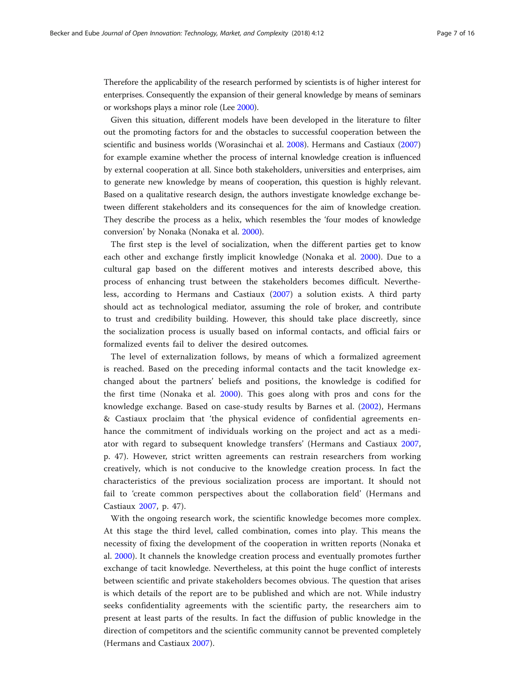Therefore the applicability of the research performed by scientists is of higher interest for enterprises. Consequently the expansion of their general knowledge by means of seminars or workshops plays a minor role (Lee [2000](#page-15-0)).

Given this situation, different models have been developed in the literature to filter out the promoting factors for and the obstacles to successful cooperation between the scientific and business worlds (Worasinchai et al. [2008](#page-15-0)). Hermans and Castiaux ([2007](#page-14-0)) for example examine whether the process of internal knowledge creation is influenced by external cooperation at all. Since both stakeholders, universities and enterprises, aim to generate new knowledge by means of cooperation, this question is highly relevant. Based on a qualitative research design, the authors investigate knowledge exchange between different stakeholders and its consequences for the aim of knowledge creation. They describe the process as a helix, which resembles the 'four modes of knowledge conversion' by Nonaka (Nonaka et al. [2000](#page-15-0)).

The first step is the level of socialization, when the different parties get to know each other and exchange firstly implicit knowledge (Nonaka et al. [2000\)](#page-15-0). Due to a cultural gap based on the different motives and interests described above, this process of enhancing trust between the stakeholders becomes difficult. Nevertheless, according to Hermans and Castiaux [\(2007](#page-14-0)) a solution exists. A third party should act as technological mediator, assuming the role of broker, and contribute to trust and credibility building. However, this should take place discreetly, since the socialization process is usually based on informal contacts, and official fairs or formalized events fail to deliver the desired outcomes.

The level of externalization follows, by means of which a formalized agreement is reached. Based on the preceding informal contacts and the tacit knowledge exchanged about the partners' beliefs and positions, the knowledge is codified for the first time (Nonaka et al. [2000\)](#page-15-0). This goes along with pros and cons for the knowledge exchange. Based on case-study results by Barnes et al. ([2002\)](#page-14-0), Hermans & Castiaux proclaim that 'the physical evidence of confidential agreements enhance the commitment of individuals working on the project and act as a mediator with regard to subsequent knowledge transfers' (Hermans and Castiaux [2007](#page-14-0), p. 47). However, strict written agreements can restrain researchers from working creatively, which is not conducive to the knowledge creation process. In fact the characteristics of the previous socialization process are important. It should not fail to 'create common perspectives about the collaboration field' (Hermans and Castiaux [2007,](#page-14-0) p. 47).

With the ongoing research work, the scientific knowledge becomes more complex. At this stage the third level, called combination, comes into play. This means the necessity of fixing the development of the cooperation in written reports (Nonaka et al. [2000](#page-15-0)). It channels the knowledge creation process and eventually promotes further exchange of tacit knowledge. Nevertheless, at this point the huge conflict of interests between scientific and private stakeholders becomes obvious. The question that arises is which details of the report are to be published and which are not. While industry seeks confidentiality agreements with the scientific party, the researchers aim to present at least parts of the results. In fact the diffusion of public knowledge in the direction of competitors and the scientific community cannot be prevented completely (Hermans and Castiaux [2007](#page-14-0)).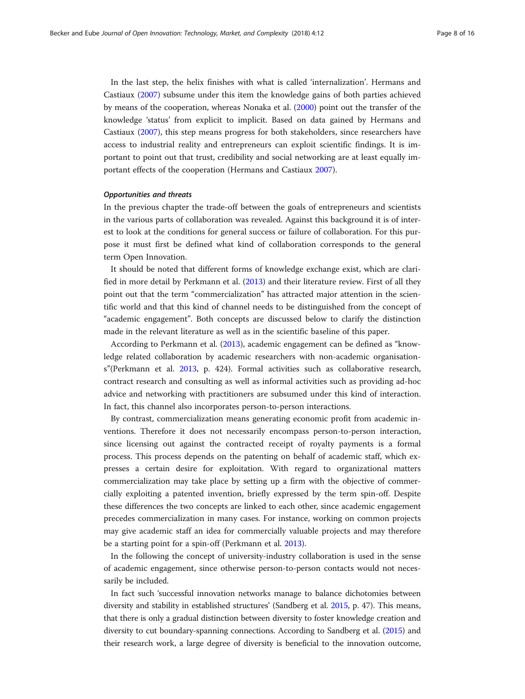In the last step, the helix finishes with what is called 'internalization'. Hermans and Castiaux [\(2007\)](#page-14-0) subsume under this item the knowledge gains of both parties achieved by means of the cooperation, whereas Nonaka et al. ([2000](#page-15-0)) point out the transfer of the knowledge 'status' from explicit to implicit. Based on data gained by Hermans and Castiaux [\(2007\)](#page-14-0), this step means progress for both stakeholders, since researchers have access to industrial reality and entrepreneurs can exploit scientific findings. It is important to point out that trust, credibility and social networking are at least equally important effects of the cooperation (Hermans and Castiaux [2007](#page-14-0)).

#### Opportunities and threats

In the previous chapter the trade-off between the goals of entrepreneurs and scientists in the various parts of collaboration was revealed. Against this background it is of interest to look at the conditions for general success or failure of collaboration. For this purpose it must first be defined what kind of collaboration corresponds to the general term Open Innovation.

It should be noted that different forms of knowledge exchange exist, which are clarified in more detail by Perkmann et al. ([2013](#page-15-0)) and their literature review. First of all they point out that the term "commercialization" has attracted major attention in the scientific world and that this kind of channel needs to be distinguished from the concept of "academic engagement". Both concepts are discussed below to clarify the distinction made in the relevant literature as well as in the scientific baseline of this paper.

According to Perkmann et al. [\(2013\)](#page-15-0), academic engagement can be defined as "knowledge related collaboration by academic researchers with non-academic organisations"(Perkmann et al. [2013](#page-15-0), p. 424). Formal activities such as collaborative research, contract research and consulting as well as informal activities such as providing ad-hoc advice and networking with practitioners are subsumed under this kind of interaction. In fact, this channel also incorporates person-to-person interactions.

By contrast, commercialization means generating economic profit from academic inventions. Therefore it does not necessarily encompass person-to-person interaction, since licensing out against the contracted receipt of royalty payments is a formal process. This process depends on the patenting on behalf of academic staff, which expresses a certain desire for exploitation. With regard to organizational matters commercialization may take place by setting up a firm with the objective of commercially exploiting a patented invention, briefly expressed by the term spin-off. Despite these differences the two concepts are linked to each other, since academic engagement precedes commercialization in many cases. For instance, working on common projects may give academic staff an idea for commercially valuable projects and may therefore be a starting point for a spin-off (Perkmann et al. [2013](#page-15-0)).

In the following the concept of university-industry collaboration is used in the sense of academic engagement, since otherwise person-to-person contacts would not necessarily be included.

In fact such 'successful innovation networks manage to balance dichotomies between diversity and stability in established structures' (Sandberg et al. [2015,](#page-15-0) p. 47). This means, that there is only a gradual distinction between diversity to foster knowledge creation and diversity to cut boundary-spanning connections. According to Sandberg et al. [\(2015\)](#page-15-0) and their research work, a large degree of diversity is beneficial to the innovation outcome,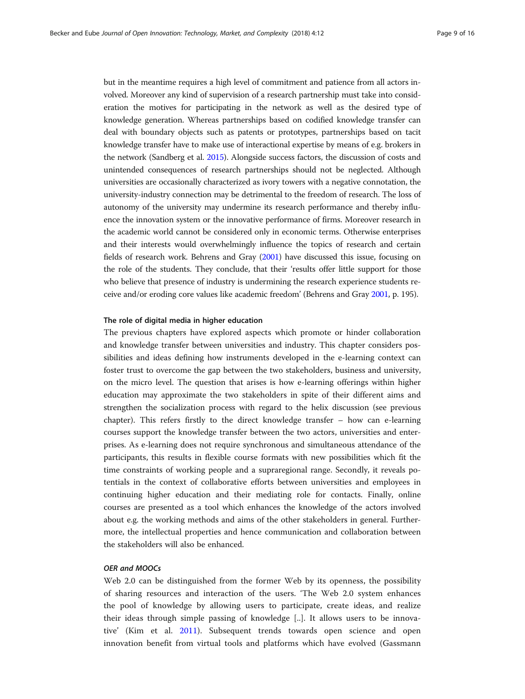but in the meantime requires a high level of commitment and patience from all actors involved. Moreover any kind of supervision of a research partnership must take into consideration the motives for participating in the network as well as the desired type of knowledge generation. Whereas partnerships based on codified knowledge transfer can deal with boundary objects such as patents or prototypes, partnerships based on tacit knowledge transfer have to make use of interactional expertise by means of e.g. brokers in the network (Sandberg et al. [2015](#page-15-0)). Alongside success factors, the discussion of costs and unintended consequences of research partnerships should not be neglected. Although universities are occasionally characterized as ivory towers with a negative connotation, the university-industry connection may be detrimental to the freedom of research. The loss of autonomy of the university may undermine its research performance and thereby influence the innovation system or the innovative performance of firms. Moreover research in the academic world cannot be considered only in economic terms. Otherwise enterprises and their interests would overwhelmingly influence the topics of research and certain fields of research work. Behrens and Gray [\(2001\)](#page-14-0) have discussed this issue, focusing on the role of the students. They conclude, that their 'results offer little support for those who believe that presence of industry is undermining the research experience students receive and/or eroding core values like academic freedom' (Behrens and Gray [2001,](#page-14-0) p. 195).

#### The role of digital media in higher education

The previous chapters have explored aspects which promote or hinder collaboration and knowledge transfer between universities and industry. This chapter considers possibilities and ideas defining how instruments developed in the e-learning context can foster trust to overcome the gap between the two stakeholders, business and university, on the micro level. The question that arises is how e-learning offerings within higher education may approximate the two stakeholders in spite of their different aims and strengthen the socialization process with regard to the helix discussion (see previous chapter). This refers firstly to the direct knowledge transfer – how can e-learning courses support the knowledge transfer between the two actors, universities and enterprises. As e-learning does not require synchronous and simultaneous attendance of the participants, this results in flexible course formats with new possibilities which fit the time constraints of working people and a supraregional range. Secondly, it reveals potentials in the context of collaborative efforts between universities and employees in continuing higher education and their mediating role for contacts. Finally, online courses are presented as a tool which enhances the knowledge of the actors involved about e.g. the working methods and aims of the other stakeholders in general. Furthermore, the intellectual properties and hence communication and collaboration between the stakeholders will also be enhanced.

#### OER and MOOCs

Web 2.0 can be distinguished from the former Web by its openness, the possibility of sharing resources and interaction of the users. 'The Web 2.0 system enhances the pool of knowledge by allowing users to participate, create ideas, and realize their ideas through simple passing of knowledge [..]. It allows users to be innovative' (Kim et al. [2011\)](#page-14-0). Subsequent trends towards open science and open innovation benefit from virtual tools and platforms which have evolved (Gassmann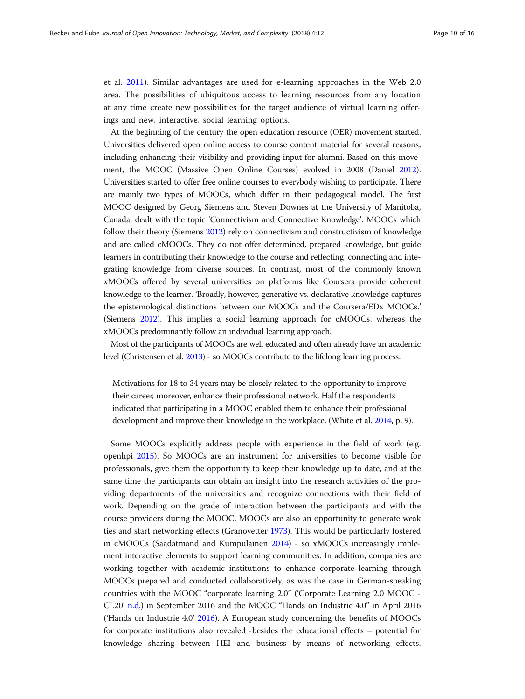et al. [2011\)](#page-14-0). Similar advantages are used for e-learning approaches in the Web 2.0 area. The possibilities of ubiquitous access to learning resources from any location at any time create new possibilities for the target audience of virtual learning offerings and new, interactive, social learning options.

At the beginning of the century the open education resource (OER) movement started. Universities delivered open online access to course content material for several reasons, including enhancing their visibility and providing input for alumni. Based on this movement, the MOOC (Massive Open Online Courses) evolved in 2008 (Daniel [2012](#page-14-0)). Universities started to offer free online courses to everybody wishing to participate. There are mainly two types of MOOCs, which differ in their pedagogical model. The first MOOC designed by Georg Siemens and Steven Downes at the University of Manitoba, Canada, dealt with the topic 'Connectivism and Connective Knowledge'. MOOCs which follow their theory (Siemens [2012\)](#page-15-0) rely on connectivism and constructivism of knowledge and are called cMOOCs. They do not offer determined, prepared knowledge, but guide learners in contributing their knowledge to the course and reflecting, connecting and integrating knowledge from diverse sources. In contrast, most of the commonly known xMOOCs offered by several universities on platforms like Coursera provide coherent knowledge to the learner. 'Broadly, however, generative vs. declarative knowledge captures the epistemological distinctions between our MOOCs and the Coursera/EDx MOOCs.' (Siemens [2012\)](#page-15-0). This implies a social learning approach for cMOOCs, whereas the xMOOCs predominantly follow an individual learning approach.

Most of the participants of MOOCs are well educated and often already have an academic level (Christensen et al. [2013\)](#page-14-0) - so MOOCs contribute to the lifelong learning process:

Motivations for 18 to 34 years may be closely related to the opportunity to improve their career, moreover, enhance their professional network. Half the respondents indicated that participating in a MOOC enabled them to enhance their professional development and improve their knowledge in the workplace. (White et al. [2014](#page-15-0), p. 9).

Some MOOCs explicitly address people with experience in the field of work (e.g. openhpi [2015](#page-15-0)). So MOOCs are an instrument for universities to become visible for professionals, give them the opportunity to keep their knowledge up to date, and at the same time the participants can obtain an insight into the research activities of the providing departments of the universities and recognize connections with their field of work. Depending on the grade of interaction between the participants and with the course providers during the MOOC, MOOCs are also an opportunity to generate weak ties and start networking effects (Granovetter [1973](#page-14-0)). This would be particularly fostered in cMOOCs (Saadatmand and Kumpulainen [2014\)](#page-15-0) - so xMOOCs increasingly implement interactive elements to support learning communities. In addition, companies are working together with academic institutions to enhance corporate learning through MOOCs prepared and conducted collaboratively, as was the case in German-speaking countries with the MOOC "corporate learning 2.0" ('Corporate Learning 2.0 MOOC - CL20' [n.d.\)](#page-14-0) in September 2016 and the MOOC "Hands on Industrie 4.0" in April 2016 ('Hands on Industrie 4.0' [2016\)](#page-14-0). A European study concerning the benefits of MOOCs for corporate institutions also revealed -besides the educational effects – potential for knowledge sharing between HEI and business by means of networking effects.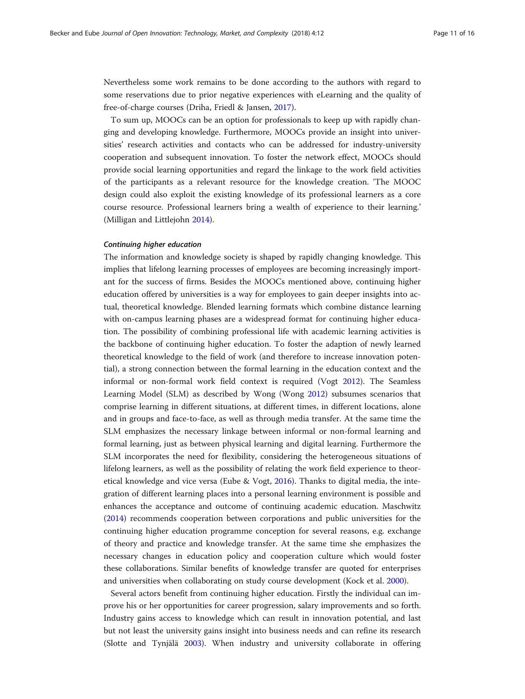Nevertheless some work remains to be done according to the authors with regard to some reservations due to prior negative experiences with eLearning and the quality of free-of-charge courses (Driha, Friedl & Jansen, [2017\)](#page-14-0).

To sum up, MOOCs can be an option for professionals to keep up with rapidly changing and developing knowledge. Furthermore, MOOCs provide an insight into universities' research activities and contacts who can be addressed for industry-university cooperation and subsequent innovation. To foster the network effect, MOOCs should provide social learning opportunities and regard the linkage to the work field activities of the participants as a relevant resource for the knowledge creation. 'The MOOC design could also exploit the existing knowledge of its professional learners as a core course resource. Professional learners bring a wealth of experience to their learning.' (Milligan and Littlejohn [2014\)](#page-15-0).

#### Continuing higher education

The information and knowledge society is shaped by rapidly changing knowledge. This implies that lifelong learning processes of employees are becoming increasingly important for the success of firms. Besides the MOOCs mentioned above, continuing higher education offered by universities is a way for employees to gain deeper insights into actual, theoretical knowledge. Blended learning formats which combine distance learning with on-campus learning phases are a widespread format for continuing higher education. The possibility of combining professional life with academic learning activities is the backbone of continuing higher education. To foster the adaption of newly learned theoretical knowledge to the field of work (and therefore to increase innovation potential), a strong connection between the formal learning in the education context and the informal or non-formal work field context is required (Vogt [2012\)](#page-15-0). The Seamless Learning Model (SLM) as described by Wong (Wong [2012\)](#page-15-0) subsumes scenarios that comprise learning in different situations, at different times, in different locations, alone and in groups and face-to-face, as well as through media transfer. At the same time the SLM emphasizes the necessary linkage between informal or non-formal learning and formal learning, just as between physical learning and digital learning. Furthermore the SLM incorporates the need for flexibility, considering the heterogeneous situations of lifelong learners, as well as the possibility of relating the work field experience to theoretical knowledge and vice versa (Eube & Vogt, [2016](#page-14-0)). Thanks to digital media, the integration of different learning places into a personal learning environment is possible and enhances the acceptance and outcome of continuing academic education. Maschwitz ([2014](#page-15-0)) recommends cooperation between corporations and public universities for the continuing higher education programme conception for several reasons, e.g. exchange of theory and practice and knowledge transfer. At the same time she emphasizes the necessary changes in education policy and cooperation culture which would foster these collaborations. Similar benefits of knowledge transfer are quoted for enterprises and universities when collaborating on study course development (Kock et al. [2000](#page-15-0)).

Several actors benefit from continuing higher education. Firstly the individual can improve his or her opportunities for career progression, salary improvements and so forth. Industry gains access to knowledge which can result in innovation potential, and last but not least the university gains insight into business needs and can refine its research (Slotte and Tynjälä [2003\)](#page-15-0). When industry and university collaborate in offering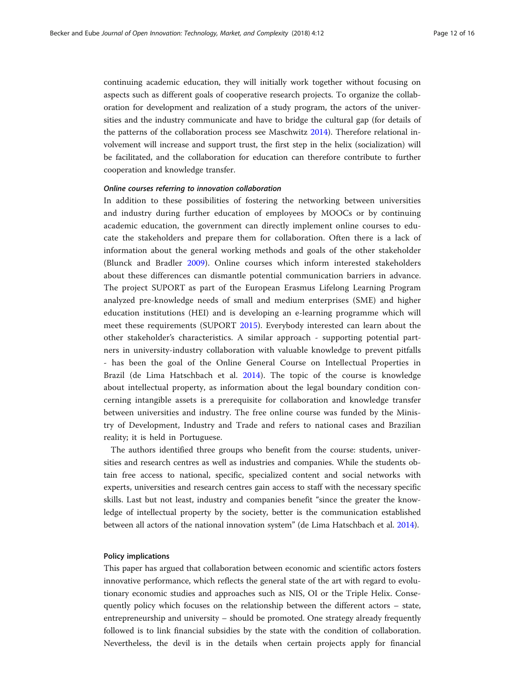continuing academic education, they will initially work together without focusing on aspects such as different goals of cooperative research projects. To organize the collaboration for development and realization of a study program, the actors of the universities and the industry communicate and have to bridge the cultural gap (for details of the patterns of the collaboration process see Maschwitz [2014](#page-15-0)). Therefore relational involvement will increase and support trust, the first step in the helix (socialization) will be facilitated, and the collaboration for education can therefore contribute to further cooperation and knowledge transfer.

#### Online courses referring to innovation collaboration

In addition to these possibilities of fostering the networking between universities and industry during further education of employees by MOOCs or by continuing academic education, the government can directly implement online courses to educate the stakeholders and prepare them for collaboration. Often there is a lack of information about the general working methods and goals of the other stakeholder (Blunck and Bradler [2009](#page-14-0)). Online courses which inform interested stakeholders about these differences can dismantle potential communication barriers in advance. The project SUPORT as part of the European Erasmus Lifelong Learning Program analyzed pre-knowledge needs of small and medium enterprises (SME) and higher education institutions (HEI) and is developing an e-learning programme which will meet these requirements (SUPORT [2015](#page-15-0)). Everybody interested can learn about the other stakeholder's characteristics. A similar approach - supporting potential partners in university-industry collaboration with valuable knowledge to prevent pitfalls - has been the goal of the Online General Course on Intellectual Properties in Brazil (de Lima Hatschbach et al. [2014\)](#page-14-0). The topic of the course is knowledge about intellectual property, as information about the legal boundary condition concerning intangible assets is a prerequisite for collaboration and knowledge transfer between universities and industry. The free online course was funded by the Ministry of Development, Industry and Trade and refers to national cases and Brazilian reality; it is held in Portuguese.

The authors identified three groups who benefit from the course: students, universities and research centres as well as industries and companies. While the students obtain free access to national, specific, specialized content and social networks with experts, universities and research centres gain access to staff with the necessary specific skills. Last but not least, industry and companies benefit "since the greater the knowledge of intellectual property by the society, better is the communication established between all actors of the national innovation system" (de Lima Hatschbach et al. [2014](#page-14-0)).

#### Policy implications

This paper has argued that collaboration between economic and scientific actors fosters innovative performance, which reflects the general state of the art with regard to evolutionary economic studies and approaches such as NIS, OI or the Triple Helix. Consequently policy which focuses on the relationship between the different actors – state, entrepreneurship and university – should be promoted. One strategy already frequently followed is to link financial subsidies by the state with the condition of collaboration. Nevertheless, the devil is in the details when certain projects apply for financial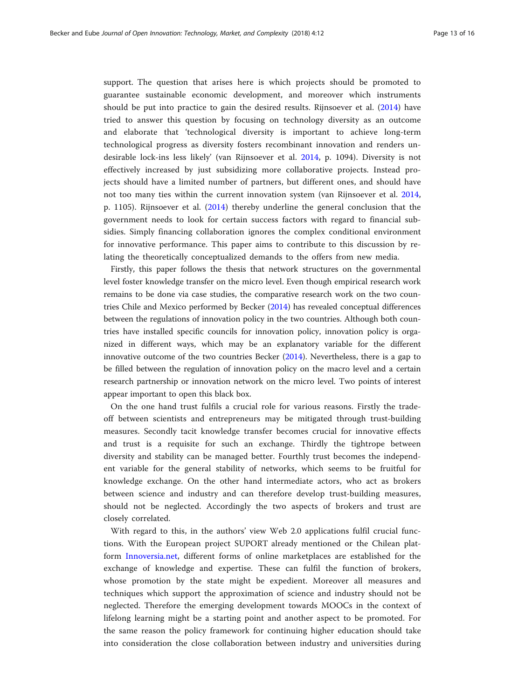support. The question that arises here is which projects should be promoted to guarantee sustainable economic development, and moreover which instruments should be put into practice to gain the desired results. Rijnsoever et al. ([2014\)](#page-15-0) have tried to answer this question by focusing on technology diversity as an outcome and elaborate that 'technological diversity is important to achieve long-term technological progress as diversity fosters recombinant innovation and renders undesirable lock-ins less likely' (van Rijnsoever et al. [2014,](#page-15-0) p. 1094). Diversity is not effectively increased by just subsidizing more collaborative projects. Instead projects should have a limited number of partners, but different ones, and should have not too many ties within the current innovation system (van Rijnsoever et al. [2014](#page-15-0), p. 1105). Rijnsoever et al. ([2014\)](#page-15-0) thereby underline the general conclusion that the government needs to look for certain success factors with regard to financial subsidies. Simply financing collaboration ignores the complex conditional environment for innovative performance. This paper aims to contribute to this discussion by relating the theoretically conceptualized demands to the offers from new media.

Firstly, this paper follows the thesis that network structures on the governmental level foster knowledge transfer on the micro level. Even though empirical research work remains to be done via case studies, the comparative research work on the two countries Chile and Mexico performed by Becker ([2014](#page-14-0)) has revealed conceptual differences between the regulations of innovation policy in the two countries. Although both countries have installed specific councils for innovation policy, innovation policy is organized in different ways, which may be an explanatory variable for the different innovative outcome of the two countries Becker ([2014](#page-14-0)). Nevertheless, there is a gap to be filled between the regulation of innovation policy on the macro level and a certain research partnership or innovation network on the micro level. Two points of interest appear important to open this black box.

On the one hand trust fulfils a crucial role for various reasons. Firstly the tradeoff between scientists and entrepreneurs may be mitigated through trust-building measures. Secondly tacit knowledge transfer becomes crucial for innovative effects and trust is a requisite for such an exchange. Thirdly the tightrope between diversity and stability can be managed better. Fourthly trust becomes the independent variable for the general stability of networks, which seems to be fruitful for knowledge exchange. On the other hand intermediate actors, who act as brokers between science and industry and can therefore develop trust-building measures, should not be neglected. Accordingly the two aspects of brokers and trust are closely correlated.

With regard to this, in the authors' view Web 2.0 applications fulfil crucial functions. With the European project SUPORT already mentioned or the Chilean platform [Innoversia.net](http://innoversia.net), different forms of online marketplaces are established for the exchange of knowledge and expertise. These can fulfil the function of brokers, whose promotion by the state might be expedient. Moreover all measures and techniques which support the approximation of science and industry should not be neglected. Therefore the emerging development towards MOOCs in the context of lifelong learning might be a starting point and another aspect to be promoted. For the same reason the policy framework for continuing higher education should take into consideration the close collaboration between industry and universities during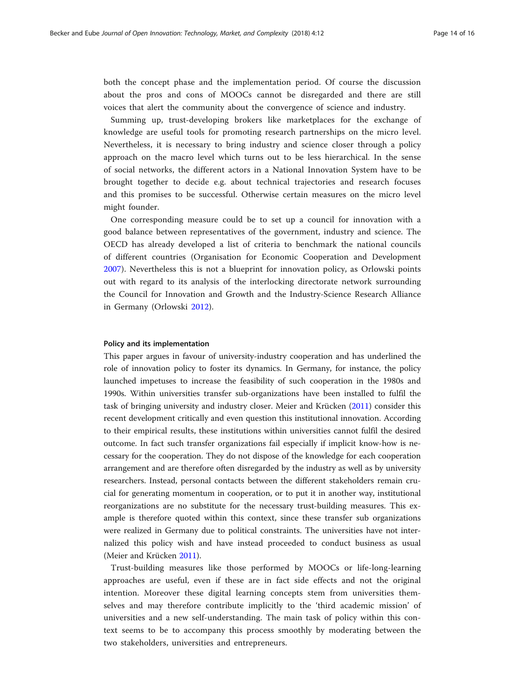both the concept phase and the implementation period. Of course the discussion about the pros and cons of MOOCs cannot be disregarded and there are still voices that alert the community about the convergence of science and industry.

Summing up, trust-developing brokers like marketplaces for the exchange of knowledge are useful tools for promoting research partnerships on the micro level. Nevertheless, it is necessary to bring industry and science closer through a policy approach on the macro level which turns out to be less hierarchical. In the sense of social networks, the different actors in a National Innovation System have to be brought together to decide e.g. about technical trajectories and research focuses and this promises to be successful. Otherwise certain measures on the micro level might founder.

One corresponding measure could be to set up a council for innovation with a good balance between representatives of the government, industry and science. The OECD has already developed a list of criteria to benchmark the national councils of different countries (Organisation for Economic Cooperation and Development [2007\)](#page-15-0). Nevertheless this is not a blueprint for innovation policy, as Orlowski points out with regard to its analysis of the interlocking directorate network surrounding the Council for Innovation and Growth and the Industry-Science Research Alliance in Germany (Orlowski [2012](#page-15-0)).

#### Policy and its implementation

This paper argues in favour of university-industry cooperation and has underlined the role of innovation policy to foster its dynamics. In Germany, for instance, the policy launched impetuses to increase the feasibility of such cooperation in the 1980s and 1990s. Within universities transfer sub-organizations have been installed to fulfil the task of bringing university and industry closer. Meier and Krücken [\(2011\)](#page-15-0) consider this recent development critically and even question this institutional innovation. According to their empirical results, these institutions within universities cannot fulfil the desired outcome. In fact such transfer organizations fail especially if implicit know-how is necessary for the cooperation. They do not dispose of the knowledge for each cooperation arrangement and are therefore often disregarded by the industry as well as by university researchers. Instead, personal contacts between the different stakeholders remain crucial for generating momentum in cooperation, or to put it in another way, institutional reorganizations are no substitute for the necessary trust-building measures. This example is therefore quoted within this context, since these transfer sub organizations were realized in Germany due to political constraints. The universities have not internalized this policy wish and have instead proceeded to conduct business as usual (Meier and Krücken [2011](#page-15-0)).

Trust-building measures like those performed by MOOCs or life-long-learning approaches are useful, even if these are in fact side effects and not the original intention. Moreover these digital learning concepts stem from universities themselves and may therefore contribute implicitly to the 'third academic mission' of universities and a new self-understanding. The main task of policy within this context seems to be to accompany this process smoothly by moderating between the two stakeholders, universities and entrepreneurs.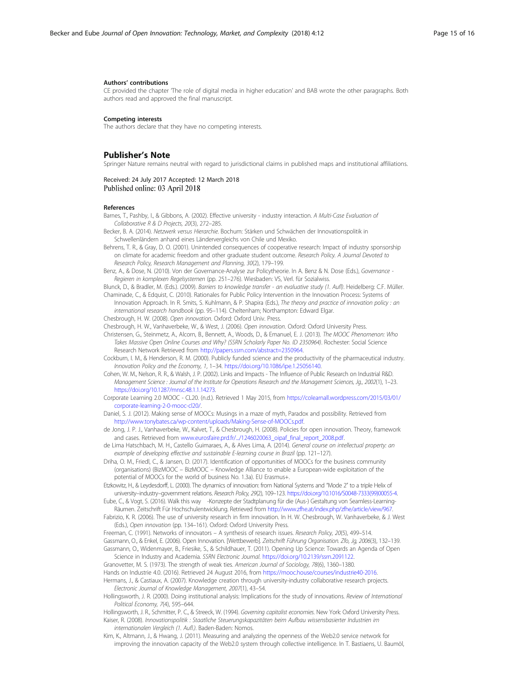#### <span id="page-14-0"></span>Authors' contributions

CE provided the chapter 'The role of digital media in higher education' and BAB wrote the other paragraphs. Both authors read and approved the final manuscript.

#### Competing interests

The authors declare that they have no competing interests.

#### Publisher's Note

Springer Nature remains neutral with regard to jurisdictional claims in published maps and institutional affiliations.

#### Received: 24 July 2017 Accepted: 12 March 2018 Published online: 03 April 2018

#### References

- Barnes, T., Pashby, I., & Gibbons, A. (2002). Effective university industry interaction. A Multi-Case Evaluation of Collaborative R & D Projects, 20(3), 272–285.
- Becker, B. A. (2014). Netzwerk versus Hierarchie. Bochum: Stärken und Schwächen der Innovationspolitik in Schwellenländern anhand eines Ländervergleichs von Chile und Mexiko.

Behrens, T. R., & Gray, D. O. (2001). Unintended consequences of cooperative research: Impact of industry sponsorship on climate for academic freedom and other graduate student outcome. Research Policy. A Journal Devoted to Research Policy, Research Management and Planning, 30(2), 179–199.

Benz, A., & Dose, N. (2010). Von der Governance-Analyse zur Policytheorie. In A. Benz & N. Dose (Eds.), Governance -Regieren in komplexen Regelsystemen (pp. 251–276). Wiesbaden: VS, Verl. für Sozialwiss.

- Blunck, D., & Bradler, M. (Eds.). (2009). Barriers to knowledge transfer an evaluative study (1. Aufl). Heidelberg: C.F. Müller. Chaminade, C., & Edquist, C. (2010). Rationales for Public Policy Intervention in the Innovation Process: Systems of Innovation Approach. In R. Smits, S. Kuhlmann, & P. Shapira (Eds.), The theory and practice of innovation policy : an
- international research handbook (pp. 95–114). Cheltenham; Northampton: Edward Elgar. Chesbrough, H. W. (2008). Open innovation. Oxford: Oxford Univ. Press.

Chesbrough, H. W., Vanhaverbeke, W., & West, J. (2006). Open innovation. Oxford: Oxford University Press.

- Christensen, G., Steinmetz, A., Alcorn, B., Bennett, A., Woods, D., & Emanuel, E. J. (2013). The MOOC Phenomenon: Who
- Takes Massive Open Online Courses and Why? (SSRN Scholarly Paper No. ID 2350964). Rochester: Social Science Research Network Retrieved from <http://papers.ssrn.com/abstract=2350964>.

Cockburn, I. M., & Henderson, R. M. (2000). Publicly funded science and the productivity of the pharmaceutical industry. Innovation Policy and the Economy, 1, 1–34. [https://doi.org/10.1086/ipe.1.25056140.](https://doi.org/10.1086/ipe.1.25056140)

- Cohen, W. M., Nelson, R. R., & Walsh, J. P. (2002). Links and Impacts The Influence of Public Research on Industrial R&D. Management Science : Journal of the Institute for Operations Research and the Management Sciences, Jg., 2002(1), 1–23. [https://doi.org/10.1287/mnsc.48.1.1.14273.](https://doi.org/10.1287/mnsc.48.1.1.14273)
- Corporate Learning 2.0 MOOC CL20. (n.d.). Retrieved 1 May 2015, from [https://colearnall.wordpress.com/2015/03/01/](https://colearnall.wordpress.com/2015/03/01/corporate-learning-2-0-mooc-cl20) [corporate-learning-2-0-mooc-cl20/.](https://colearnall.wordpress.com/2015/03/01/corporate-learning-2-0-mooc-cl20)

Daniel, S. J. (2012). Making sense of MOOCs: Musings in a maze of myth, Paradox and possibility. Retrieved from <http://www.tonybates.ca/wp-content/uploads/Making-Sense-of-MOOCs.pdf>.

de Jong, J. P. J., Vanhaverbeke, W., Kalvet, T., & Chesbrough, H. (2008). Policies for open innovation. Theory, framework and cases. Retrieved from [www.eurosfaire.prd.fr/.../1246020063\\_oipaf\\_final\\_report\\_2008.pdf.](http://www.eurosfaire.prd.fr/1246020063_oipaf_final_report_2008.pdf)

de Lima Hatschbach, M. H., Castello Guimaraes, A., & Alves Lima, A. (2014). General course on intellectual property: an example of developing effective and sustainable E-learning course in Brazil (pp. 121–127).

Driha, O. M., Friedl, C., & Jansen, D. (2017). Identification of opportunities of MOOCs for the business community (organisations) (BizMOOC – BizMOOC – Knowledge Alliance to enable a European-wide exploitation of the potential of MOOCs for the world of business No. 1.3a). EU Erasmus+.

Etzkowitz, H., & Leydesdorff, L. (2000). The dynamics of innovation: from National Systems and "Mode 2" to a triple Helix of university–industry–government relations. Research Policy, 29(2), 109–123. [https://doi.org/10.1016/S0048-7333\(99\)00055-4](https://doi.org/10.1016/S0048-7333(99)00055-4).

Eube, C., & Vogt, S. (2016). Walk this way -Konzepte der Stadtplanung für die (Aus-) Gestaltung von Seamless-Learning-Räumen. Zeitschrift Für Hochschulentwicklung. Retrieved from [http://www.zfhe.at/index.php/zfhe/article/view/967.](http://www.zfhe.at/index.php/zfhe/article/view/967)

Fabrizio, K. R. (2006). The use of university research in firm innovation. In H. W. Chesbrough, W. Vanhaverbeke, & J. West (Eds.), Open innovation (pp. 134–161). Oxford: Oxford University Press.

Freeman, C. (1991). Networks of innovators – A synthesis of research issues. Research Policy, 20(5), 499–514. Gassmann, O., & Enkel, E. (2006). Open Innovation. [Wettbewerb]. Zeitschrift Führung Organisation. Zfo, Jg, 2006(3), 132-139. Gassmann, O., Widenmayer, B., Friesike, S., & Schildhauer, T. (2011). Opening Up Science: Towards an Agenda of Open

Science in Industry and Academia. SSRN Electronic Journal. <https://doi.org/10.2139/ssrn.2091122>.

Granovetter, M. S. (1973). The strength of weak ties. American Journal of Sociology, 78(6), 1360–1380. Hands on Industrie 4.0. (2016). Retrieved 24 August 2016, from [https://mooc.house/courses/industrie40-2016.](https://mooc.house/courses/industrie40-2016)

Hermans, J., & Castiaux, A. (2007). Knowledge creation through university-industry collaborative research projects. Electronic Journal of Knowledge Management, 2007(1), 43–54.

Hollingsworth, J. R. (2000). Doing institutional analysis: Implications for the study of innovations. Review of International Political Economy, 7(4), 595–644.

Hollingsworth, J. R., Schmitter, P. C., & Streeck, W. (1994). Governing capitalist economies. New York: Oxford University Press. Kaiser, R. (2008). Innovationspolitik : Staatliche Steuerungskapazitäten beim Aufbau wissensbasierter Industrien im internationalen Vergleich (1. Aufl.). Baden-Baden: Nomos.

Kim, K., Altmann, J., & Hwang, J. (2011). Measuring and analyzing the openness of the Web2.0 service network for improving the innovation capacity of the Web2.0 system through collective intelligence. In T. Bastiaens, U. Baumöl,